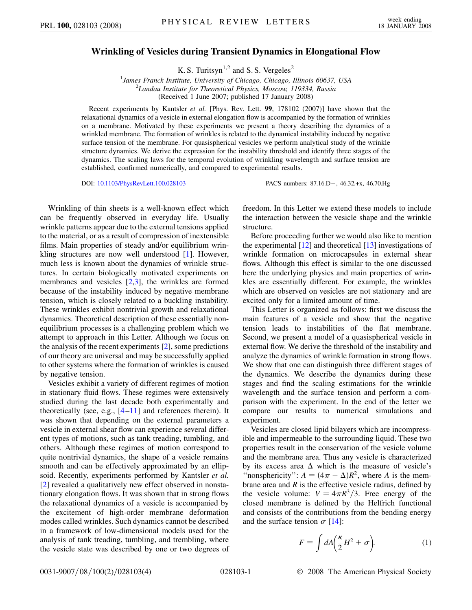## **Wrinkling of Vesicles during Transient Dynamics in Elongational Flow**

K. S. Turitsyn<sup>1,2</sup> and S. S. Vergeles<sup>2</sup>

<sup>1</sup> James Franck Institute, University of Chicago, Chicago, Illinois 60637, USA<br><sup>2</sup> Landau Institute for Theoretical Physics, Moscow, 110334, Pussia *Landau Institute for Theoretical Physics, Moscow, 119334, Russia* (Received 1 June 2007; published 17 January 2008)

Recent experiments by Kantsler *et al.* [Phys. Rev. Lett. **99**, 178102 (2007)] have shown that the relaxational dynamics of a vesicle in external elongation flow is accompanied by the formation of wrinkles on a membrane. Motivated by these experiments we present a theory describing the dynamics of a wrinkled membrane. The formation of wrinkles is related to the dynamical instability induced by negative surface tension of the membrane. For quasispherical vesicles we perform analytical study of the wrinkle structure dynamics. We derive the expression for the instability threshold and identify three stages of the dynamics. The scaling laws for the temporal evolution of wrinkling wavelength and surface tension are established, confirmed numerically, and compared to experimental results.

DOI: [10.1103/PhysRevLett.100.028103](http://dx.doi.org/10.1103/PhysRevLett.100.028103) PACS numbers: 87.16.D-, 46.32.+x, 46.70.Hg

Wrinkling of thin sheets is a well-known effect which can be frequently observed in everyday life. Usually wrinkle patterns appear due to the external tensions applied to the material, or as a result of compression of inextensible films. Main properties of steady and/or equilibrium wrinkling structures are now well understood [[1](#page-3-0)]. However, much less is known about the dynamics of wrinkle structures. In certain biologically motivated experiments on membranes and vesicles [[2](#page-3-1)[,3\]](#page-3-2), the wrinkles are formed because of the instability induced by negative membrane tension, which is closely related to a buckling instability. These wrinkles exhibit nontrivial growth and relaxational dynamics. Theoretical description of these essentially nonequilibrium processes is a challenging problem which we attempt to approach in this Letter. Although we focus on the analysis of the recent experiments [[2](#page-3-1)], some predictions of our theory are universal and may be successfully applied to other systems where the formation of wrinkles is caused by negative tension.

Vesicles exhibit a variety of different regimes of motion in stationary fluid flows. These regimes were extensively studied during the last decade both experimentally and theoretically (see, e.g.,  $[4-11]$  $[4-11]$  $[4-11]$  and references therein). It was shown that depending on the external parameters a vesicle in external shear flow can experience several different types of motions, such as tank treading, tumbling, and others. Although these regimes of motion correspond to quite nontrivial dynamics, the shape of a vesicle remains smooth and can be effectively approximated by an ellipsoid. Recently, experiments performed by Kantsler *et al.* [\[2\]](#page-3-1) revealed a qualitatively new effect observed in nonstationary elongation flows. It was shown that in strong flows the relaxational dynamics of a vesicle is accompanied by the excitement of high-order membrane deformation modes called wrinkles. Such dynamics cannot be described in a framework of low-dimensional models used for the analysis of tank treading, tumbling, and trembling, where the vesicle state was described by one or two degrees of freedom. In this Letter we extend these models to include the interaction between the vesicle shape and the wrinkle structure.

Before proceeding further we would also like to mention the experimental  $[12]$  $[12]$  $[12]$  and theoretical  $[13]$  $[13]$  $[13]$  investigations of wrinkle formation on microcapsules in external shear flows. Although this effect is similar to the one discussed here the underlying physics and main properties of wrinkles are essentially different. For example, the wrinkles which are observed on vesicles are not stationary and are excited only for a limited amount of time.

This Letter is organized as follows: first we discuss the main features of a vesicle and show that the negative tension leads to instabilities of the flat membrane. Second, we present a model of a quasispherical vesicle in external flow. We derive the threshold of the instability and analyze the dynamics of wrinkle formation in strong flows. We show that one can distinguish three different stages of the dynamics. We describe the dynamics during these stages and find the scaling estimations for the wrinkle wavelength and the surface tension and perform a comparison with the experiment. In the end of the letter we compare our results to numerical simulations and experiment.

Vesicles are closed lipid bilayers which are incompressible and impermeable to the surrounding liquid. These two properties result in the conservation of the vesicle volume and the membrane area. Thus any vesicle is characterized by its excess area  $\Delta$  which is the measure of vesicle's "nonsphericity":  $A = (4\pi + \Delta)R^2$ , where *A* is the membrane area and *R* is the effective vesicle radius, defined by the vesicle volume:  $V = 4\pi R^3/3$ . Free energy of the closed membrane is defined by the Helfrich functional and consists of the contributions from the bending energy and the surface tension  $\sigma$  [[14\]](#page-3-7):

$$
F = \int dA \left(\frac{\kappa}{2}H^2 + \sigma\right).
$$
 (1)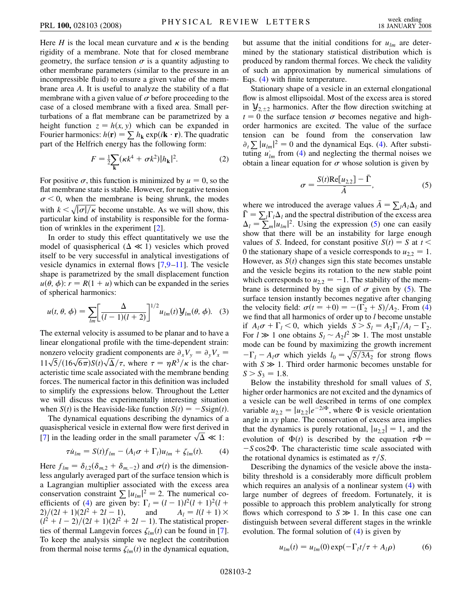Here *H* is the local mean curvature and  $\kappa$  is the bending rigidity of a membrane. Note that for closed membrane geometry, the surface tension  $\sigma$  is a quantity adjusting to other membrane parameters (similar to the pressure in an incompressible fluid) to ensure a given value of the membrane area *A*. It is useful to analyze the stability of a flat membrane with a given value of  $\sigma$  before proceeding to the case of a closed membrane with a fixed area. Small perturbations of a flat membrane can be parametrized by a height function  $z = h(x, y)$  which can be expanded in Fourier harmonics:  $h(\mathbf{r}) = \sum h_{\mathbf{k}} \exp(i\mathbf{k} \cdot \mathbf{r})$ . The quadratic part of the Helfrich energy has the following form:

$$
F = \frac{1}{2} \sum_{\mathbf{k}} (\kappa k^4 + \sigma k^2) |h_{\mathbf{k}}|^2.
$$
 (2)

For positive  $\sigma$ , this function is minimized by  $u = 0$ , so the flat membrane state is stable. However, for negative tension  $\sigma$  < 0, when the membrane is being shrunk, the modes with  $k < \sqrt{|\sigma|/\kappa}$  become unstable. As we will show, this particular kind of instability is responsible for the formation of wrinkles in the experiment [[2](#page-3-1)].

In order to study this effect quantitatively we use the model of quasispherical  $(\Delta \ll 1)$  vesicles which proved itself to be very successful in analytical investigations of vesicle dynamics in external flows [\[7,](#page-3-8)[9](#page-3-9)–[11\]](#page-3-4). The vesicle shape is parametrized by the small displacement function  $u(\theta, \phi)$ :  $r = R(1 + u)$  which can be expanded in the series of spherical harmonics:

$$
u(t, \theta, \phi) = \sum_{lm} \left[ \frac{\Delta}{(l-1)(l+2)} \right]^{1/2} u_{lm}(t) \mathcal{Y}_{lm}(\theta, \phi).
$$
 (3)

The external velocity is assumed to be planar and to have a linear elongational profile with the time-dependent strain: nonzero velocity gradient components are  $\partial_x V_y = \partial_y V_x =$ nonzero velocity gradient components are  $\sigma_x v_y - \sigma_y v_x -$ <br> $11\sqrt{5}/(16\sqrt{6\pi})S(t)\sqrt{\Delta}/\tau$ , where  $\tau = \eta R^3/\kappa$  is the characteristic time scale associated with the membrane bending forces. The numerical factor in this definition was included to simplify the expressions below. Throughout the Letter we will discuss the experimentally interesting situation when *S*(*t*) is the Heaviside-like function  $S(t) = -Ssign(t)$ .

The dynamical equations describing the dynamics of a quasispherical vesicle in external flow were first derived in quasispherical vesicle in external now were first derived i<br> [\[7\]](#page-3-8) in the leading order in the small parameter  $\sqrt{\Delta} \ll 1$ :

$$
\tau \dot{u}_{lm} = S(t)f_{lm} - (A_l \sigma + \Gamma_l)u_{lm} + \zeta_{lm}(t). \tag{4}
$$

<span id="page-1-0"></span>Here  $f_{lm} = \delta_{l,2}(\delta_{m,2} + \delta_{m,-2})$  and  $\sigma(t)$  is the dimensionless angularly averaged part of the surface tension which is a Lagrangian multiplier associated with the excess area conservation constraint  $\sum |u_{lm}|^2 = 2$ . The numerical co-efficients of [\(4](#page-1-0)) are given by:  $\Gamma_l = (l-1)l^2(l+1)^2(l+1)$  $2)/(2l + 1)(2l^2 + 2l - 1)$ , and  $A_l = l(l + 1) \times$  $(l^2 + l - 2)/(2l + 1)(2l^2 + 2l - 1)$ . The statistical properties of thermal Langevin forces  $\zeta_{lm}(t)$  can be found in [[7\]](#page-3-8). To keep the analysis simple we neglect the contribution from thermal noise terms  $\zeta_{lm}(t)$  in the dynamical equation, but assume that the initial conditions for  $u_{lm}$  are determined by the stationary statistical distribution which is produced by random thermal forces. We check the validity of such an approximation by numerical simulations of Eqs. ([4\)](#page-1-0) with finite temperature.

Stationary shape of a vesicle in an external elongational flow is almost ellipsoidal. Most of the excess area is stored in  $\mathcal{Y}_{2+2}$  harmonics. After the flow direction switching at  $t = 0$  the surface tension  $\sigma$  becomes negative and highorder harmonics are excited. The value of the surface tension can be found from the conservation law  $\partial_t \sum |u_{lm}|^2 = 0$  and the dynamical Eqs. ([4\)](#page-1-0). After substituting  $u_{lm}$  from [\(4](#page-1-0)) and neglecting the thermal noises we obtain a linear equation for  $\sigma$  whose solution is given by

$$
\sigma = \frac{S(t)\text{Re}[u_{2,2}] - \bar{\Gamma}}{\bar{A}},\tag{5}
$$

<span id="page-1-1"></span>where we introduced the average values  $\bar{A} = \sum_{l} A_{l} \Delta_{l}$  and  $\bar{\Gamma} = \sum_l \Gamma_l \Delta_l$  and the spectral distribution of the excess area  $\Delta_l = \sum_m |u_{lm}|^2$ . Using the expression ([5\)](#page-1-1) one can easily show that there will be an instability for large enough values of *S*. Indeed, for constant positive  $S(t) = S$  at  $t <$ 0 the stationary shape of a vesicle corresponds to  $u_{2,2} = 1$ . However, as  $S(t)$  changes sign this state becomes unstable and the vesicle begins its rotation to the new stable point which corresponds to  $u_{2,2} = -1$ . The stability of the membrane is determined by the sign of  $\sigma$  given by [\(5](#page-1-1)). The surface tension instantly becomes negative after changing the velocity field:  $\sigma(t = +0) = -(\Gamma_2 + S)/A_2$ . From [\(4\)](#page-1-0) we find that all harmonics of order up to *l* become unstable if  $A_l \sigma + \Gamma_l < 0$ , which yields  $S > S_l = A_2 \Gamma_l / A_l - \Gamma_2$ . For  $l \gg 1$  one obtains  $S_l \sim A_2 l^2 \gg 1$ . The most unstable mode can be found by maximizing the growth increment  $-\Gamma_l - A_l \sigma$  which yields  $l_0 = \sqrt{S/3A_2}$  for strong flows with  $S \gg 1$ . Third order harmonic becomes unstable for  $S > S_3 = 1.8$ .

Below the instability threshold for small values of *S*, higher order harmonics are not excited and the dynamics of a vesicle can be well described in terms of one complex variable  $u_{2,2} = |u_{2,2}|e^{-2i\Phi}$ , where  $\Phi$  is vesicle orientation angle in *xy* plane. The conservation of excess area implies that the dynamics is purely rotational,  $|u_{2,2}| = 1$ , and the evolution of  $\Phi(t)$  is described by the equation  $\tau \dot{\Phi} =$  $-S \cos 2\Phi$ . The characteristic time scale associated with the rotational dynamics is estimated as  $\tau/S$ .

Describing the dynamics of the vesicle above the instability threshold is a considerably more difficult problem which requires an analysis of a nonlinear system [\(4\)](#page-1-0) with large number of degrees of freedom. Fortunately, it is possible to approach this problem analytically for strong flows which correspond to  $S \gg 1$ . In this case one can distinguish between several different stages in the wrinkle evolution. The formal solution of [\(4\)](#page-1-0) is given by

<span id="page-1-2"></span>
$$
u_{lm}(t) = u_{lm}(0) \exp(-\Gamma_l t/\tau + A_l \rho) \tag{6}
$$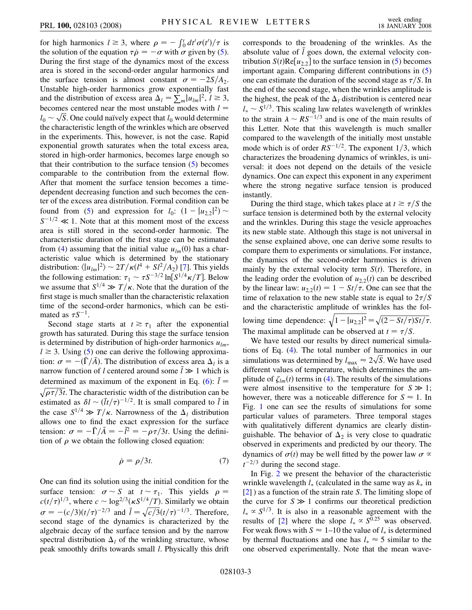for high harmonics  $l \ge 3$ , where  $\rho = -\int_0^t dt' \sigma(t')/\tau$  is the solution of the equation  $\tau \dot{\rho} = -\sigma$  with  $\sigma$  given by ([5\)](#page-1-1). During the first stage of the dynamics most of the excess area is stored in the second-order angular harmonics and the surface tension is almost constant  $\sigma = -2S/A_2$ . Unstable high-order harmonics grow exponentially fast and the distribution of excess area  $\Delta_l = \sum_m |u_{lm}|^2$ ,  $l \ge 3$ , becomes centered near the most unstable modes with  $l =$ becomes centered near the most unstable modes with  $l = l_0 \sim \sqrt{S}$ . One could naively expect that  $l_0$  would determine the characteristic length of the wrinkles which are observed in the experiments. This, however, is not the case. Rapid exponential growth saturates when the total excess area, stored in high-order harmonics, becomes large enough so that their contribution to the surface tension  $(5)$  $(5)$  becomes comparable to the contribution from the external flow. After that moment the surface tension becomes a timedependent decreasing function and such becomes the center of the excess area distribution. Formal condition can be found from ([5\)](#page-1-1) and expression for  $l_0$ :  $(1 - |u_{2,2}|^2)$  ~  $S^{-1/2} \ll 1$ . Note that at this moment most of the excess area is still stored in the second-order harmonic. The characteristic duration of the first stage can be estimated from ([4](#page-1-0)) assuming that the initial value  $u_{lm}(0)$  has a characteristic value which is determined by the stationary distribution:  $\langle |u_{lm}|^2 \rangle \sim 2T/\kappa(l^4 + Sl^2/A_2)$  [\[7](#page-3-8)]. This yields the following estimation:  $\tau_1 \sim \tau S^{-3/2} \ln[S^{1/4} \kappa/T]$ . Below we assume that  $S^{1/4} \gg T/\kappa$ . Note that the duration of the first stage is much smaller than the characteristic relaxation time of the second-order harmonics, which can be estimated as  $\tau S^{-1}$ .

Second stage starts at  $t \geq \tau_1$  after the exponential growth has saturated. During this stage the surface tension is determined by distribution of high-order harmonics  $u_{lm}$ ,  $l \geq 3$ . Using [\(5\)](#page-1-1) one can derive the following approximation:  $\sigma = -(\bar{\Gamma}/\bar{A})$ . The distribution of excess area  $\Delta_l$  is a narrow function of *l* centered around some  $l \gg 1$  which is determined as maximum of the exponent in Eq. ([6\)](#page-1-2):  $\bar{l}$  =  $\sqrt{\rho \tau/3t}$ . The characteristic width of the distribution can be estimated as  $\delta l \sim (\bar{l}t/\tau)^{-1/2}$ . It is small compared to  $\bar{l}$  in the case  $S^{1/4} \gg T/\kappa$ . Narrowness of the  $\Delta_l$  distribution allows one to find the exact expression for the surface tension:  $\sigma = -\bar{\Gamma}/\bar{A} = -\bar{l}^2 = -\rho\tau/3t$ . Using the definition of  $\rho$  we obtain the following closed equation:

$$
\dot{\rho} = \rho/3t. \tag{7}
$$

One can find its solution using the initial condition for the surface tension:  $\sigma \sim S$  at  $t \sim \tau_1$ . This yields  $\rho =$  $c(t/\tau)^{1/3}$ , where  $c \sim \log^{2/3}(\kappa S^{1/4}/T)$ . Similarly we obtain  $\sigma = -(c/3)(t/\tau)^{-2/3}$  and  $\bar{l} = \sqrt{c/3}(t/\tau)^{-1/3}$ . Therefore, second stage of the dynamics is characterized by the algebraic decay of the surface tension and by the narrow spectral distribution  $\Delta_l$  of the wrinkling structure, whose peak smoothly drifts towards small *l*. Physically this drift corresponds to the broadening of the wrinkles. As the absolute value of  $\bar{l}$  goes down, the external velocity contribution  $S(t)$ Re $[u_{2,2}]$  to the surface tension in [\(5](#page-1-1)) becomes important again. Comparing different contributions in [\(5\)](#page-1-1) one can estimate the duration of the second stage as  $\tau/S$ . In the end of the second stage, when the wrinkles amplitude is the highest, the peak of the  $\Delta_l$  distribution is centered near  $l_{*} \sim S^{1/3}$ . This scaling law relates wavelength of wrinkles to the strain  $\lambda \sim RS^{-1/3}$  and is one of the main results of this Letter. Note that this wavelength is much smaller compared to the wavelength of the initially most unstable mode which is of order  $RS^{-1/2}$ . The exponent 1/3, which characterizes the broadening dynamics of wrinkles, is universal: it does not depend on the details of the vesicle dynamics. One can expect this exponent in any experiment where the strong negative surface tension is produced instantly.

During the third stage, which takes place at  $t \ge \tau/S$  the surface tension is determined both by the external velocity and the wrinkles. During this stage the vesicle approaches its new stable state. Although this stage is not universal in the sense explained above, one can derive some results to compare them to experiments or simulations. For instance, the dynamics of the second-order harmonics is driven mainly by the external velocity term  $S(t)$ . Therefore, in the leading order the evolution of  $u_{2,2}(t)$  can be described by the linear law:  $u_{2,2}(t) = 1 - St/\tau$ . One can see that the time of relaxation to the new stable state is equal to  $2\tau/S$ and the characteristic amplitude of wrinkles has the following time dependence:  $\frac{1}{2}$  $\sqrt{1-|u_{2,2}|^2}$  $=\sqrt{(2-St/\tau)St/\tau}.$ The maximal amplitude can be observed at  $t = \tau/S$ .

We have tested our results by direct numerical simulations of Eq. [\(4\)](#page-1-0). The total number of harmonics in our tions of Eq. (4). The total number of narmonics in our simulations was determined by  $l_{\text{max}} \approx 2\sqrt{S}$ . We have used different values of temperature, which determines the amplitude of  $\zeta_{lm}(t)$  terms in [\(4\)](#page-1-0). The results of the simulations were almost insensitive to the temperature for  $S \gg 1$ ; however, there was a noticeable difference for  $S \approx 1$ . In Fig. [1](#page-3-10) one can see the results of simulations for some particular values of parameters. Three temporal stages with qualitatively different dynamics are clearly distinguishable. The behavior of  $\Delta_2$  is very close to quadratic observed in experiments and predicted by our theory. The dynamics of  $\sigma(t)$  may be well fitted by the power law  $\sigma \propto$  $t^{-2/3}$  during the second stage.

In Fig. [2](#page-3-11) we present the behavior of the characteristic wrinkle wavelength  $l_*$  (calculated in the same way as  $k_*$  in [\[2\]](#page-3-1) ) as a function of the strain rate *S*. The limiting slope of the curve for  $S \gg 1$  confirms our theoretical prediction  $l_{*} \propto S^{1/3}$ . It is also in a reasonable agreement with the results of [[2\]](#page-3-1) where the slope  $l_* \propto S^{0.25}$  was observed. For weak flows with  $S \approx 1$ –10 the value of  $l_*$  is determined by thermal fluctuations and one has  $l_* \approx 5$  similar to the one observed experimentally. Note that the mean wave-